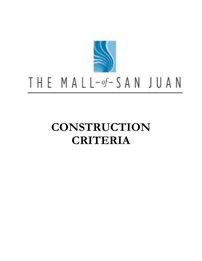

# THE MALL-of-SAN JUAN

## **CONSTRUCTION CRITERIA**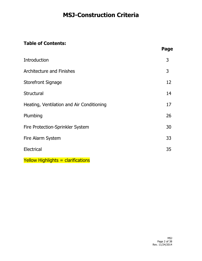### **Table of Contents:**

|                                           | Page |
|-------------------------------------------|------|
| <b>Introduction</b>                       | 3    |
| <b>Architecture and Finishes</b>          | 3    |
| Storefront Signage                        | 12   |
| Structural                                | 14   |
| Heating, Ventilation and Air Conditioning | 17   |
| Plumbing                                  | 26   |
| Fire Protection-Sprinkler System          | 30   |
| <b>Fire Alarm System</b>                  | 33   |
| <b>Electrical</b>                         | 35   |

Yellow Highlights = clarifications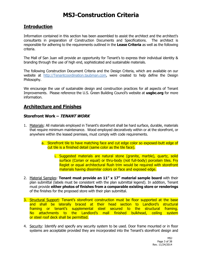### **Introduction**

Information contained in this section has been assembled to assist the architect and the architect's consultants in preparation of Construction Documents and Specifications. The architect is responsible for adhering to the requirements outlined in the **Lease Criteria** as well as the following criteria.

The Mall of San Juan will provide an opportunity for Tenant's to express their individual identity & branding through the use of high end, sophisticated and sustainable materials.

The following Construction Document Criteria and the Design Criteria, which are available on our website at [http://Tenantcoordination.taubman.com,](http://tenantcoordination.taubman.com/) were created to help define the Design Philosophy.

We encourage the use of sustainable design and construction practices for all aspects of Tenant Improvements. Please reference the U.S. Green Building Council's website at **usgbc.org** for more information.

### **Architecture and Finishes**

#### **Storefront Work – TENANT WORK**

- 1. Materials: All materials employed in Tenant's storefront shall be hard surface, durable, materials that require minimum maintenance. Wood employed decoratively within or at the storefront, or anywhere within the leased premises, must comply with code requirements.
	- a. Storefront tile to have matching face and cut edge color so exposed-butt edge of cut tile is a finished detail (same color as the tile face).
		- i. Suggested materials are natural stone (granite, marble), quartz, solid surface (Corian or equal) or thru-body (not full-body) porcelain tiles. Fry Reglet or equal architectural flush trim would be required with storefront materials having dissimilar colors on face and exposed edge.
- 2. Material Samples: **Tenant must provide an 11" x 17" material sample board** with their plan submittal (labels must be consistent with the plan submittal legend). In addition, Tenant must provide **either photos of finishes from a comparable existing store or renderings** of the finishes for the proposed store with their plan submittal.
- 3. Structural Support: Tenant's storefront construction must be floor supported at the base and shall be laterally braced at their head section to Landlord's structural framing or tenant's supplemental steel secured to the structural framing. No attachments to the Landlord's mall finished bulkhead, ceiling system or steel roof deck shall be permitted.
- 4. Security: Identify and specify any security system to be used. Door frame mounted or in floor systems are acceptable provided they are incorporated into the Tenant's storefront design and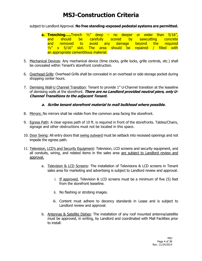subject to Landlord Approval. **No free standing-exposed pedestal systems are permitted.** 

- **a. Trenching…..**Trench ½" deep no deeper or wider than 5/16", and should be carefully scored by sawcutting concrete and removed to avoid any damage beyond the required  $\frac{1}{2}$  x 5/16" slot. The area should be repaired / filled with an appropriate cementitious material.
- 5. Mechanical Devices: Any mechanical device (time clocks, grille locks, grille controls, etc.) shall be concealed within Tenant's storefront construction.
- 6. Overhead Grills: Overhead Grills shall be concealed in an overhead or side storage pocket during shopping center hours.
- 7. Demising Wall-U Channel Transition: Tenant to provide 1" U-Channel transition at the leaseline of demising walls at the storefront. **There are no Landlord provided neutral piers, only U-Channel Transitions to the adjacent Tenant.**

#### **a. Scribe tenant storefront material to mall bulkhead where possible.**

- 8. Mirrors: No mirrors shall be visible from the common area facing the storefront.
- 9. Egress Path: A clear egress path of 10 ft. is required in front of the storefronts. Tables/Chairs, signage and other obstructions must not be located in this space.
- 10. Door Swing: All entry doors that swing outward must be setback into recessed openings and not impede the egress path.
- 11. Television, LCD's and Security Equipment: Television, LCD screens and security equipment, and all conduits, wiring, and related items in the sales area are subject to Landlord review and approval.
	- a. Television & LCD Screens: The installation of Televisions & LCD screens in Tenant sales area for marketing and advertising is subject to Landlord review and approval.
		- i. If approved, Television & LCD screens must be a minimum of five (5) feet from the storefront leaseline.
		- ii. No flashing or strobing images.
		- iii. Content must adhere to decency standards in Lease and is subject to Landlord review and approval.
	- b. Antennas & Satellite Dishes: The installation of any roof mounted antenna/satellite must be approved, in writing, by Landlord and coordinated with Mall Facilities prior to install.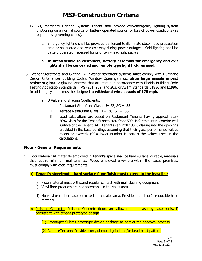- 12. Exit/Emergency Lighting System: Tenant shall provide exit/emergency lighting system functioning on a normal source or battery operated source for loss of power conditions (as required by governing codes).
	- a. Emergency lighting shall be provided by Tenant to illuminate stock, food preparation area or sales area and rear exit way during power outages. Said lighting shall be battery operated, recessed lights or twin-head light pack(s).

#### b. **In areas visible to customers, battery assembly for emergency and exit lights shall be concealed and remote type light fixtures used.**

- 13. Exterior Storefronts and Glazing: All exterior storefront systems must comply with Hurricane Design Criteria per Building Codes. Window Openings must utilize **large missile impact resistant glass** or glazing systems that are tested in accordance with Florida Building Code Testing Application Standards (TAS) 201, 202, and 203, or ASTM Standards E1886 and E1996. In addition, systems must be designed to **withstand wind speeds of 175 mph.**
	- a. U Value and Shading Coefficients:
		- i. Restaurant Storefront Glass: U=.83, SC = .55
		- ii. Terrace Restaurant Glass:  $U = .83$ , SC = .55
		- iii. Load calculations are based on Restaurant Tenants having approximately 50% Glass for the Tenant's open storefront.50% is for the entire exterior wall surface of the Tenant. ALL Tenants can infill 100% glazing into the openings provided in the base building, assuming that their glass performance values meets or exceeds (SC= lower number is better) the values used in the calculations.

#### **Floor - General Requirements**

1. Floor Material: All materials employed in Tenant's space shall be hard surface, durable, materials that require minimum maintenance. Wood employed anywhere within the leased premises, must comply with code requirements.

**a) Tenant's storefront – hard surface floor finish must extend to the leaseline**

- i) Floor material must withstand regular contact with mall cleaning equipment
- ii) Vinyl floor products are not acceptable in the sales area
- iii) No vinyl or rubber base permitted in the sales area. Provide a hard surface-durable base material.
- b) Polished Concrete: Polished Concrete floors are allowed on a case by case basis, if consistent with tenant prototype design

(1) Prototype: Submit prototype design package as part of the approval process

(2) Pattern/Texture: Provide score, diamond grind and/or bead blast pattern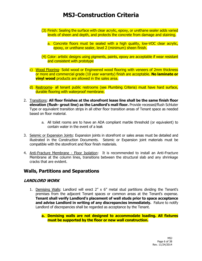- (3) Finish: Sealing the surface with clear acrylic, epoxy, or urethane sealer adds varied levels of sheen and depth, and protects the concrete from damage and staining.
	- a. Concrete floors must be sealed with a high quality, low-VOC clear acrylic, epoxy, or urethane sealer, level 2 (minimum) sheen finish.
- (4) Color: artistic designs using pigments, paints, epoxy are acceptable if wear resistant and consistent with prototype
- c) Wood Flooring- Solid wood or Engineered wood flooring with veneers of 2mm thickness or more and commercial grade (10 year warranty) finish are acceptable. **No laminate or vinyl wood** products are allowed in the sales area.
- d) Restrooms- all tenant public restrooms (see Plumbing Criteria) must have hard surface, durable flooring with waterproof membrane.
- 2. Transitions: **All floor finishes at the storefront lease line shall be the same finish floor elevation (flush- grout line) as the Landlord's mall floor.** Provide recessed/flush Schluter Type or equivalent transition strips in all other floor transition areas of Tenant space as needed based on floor material.
	- a. All toilet rooms are to have an ADA compliant marble threshold (or equivalent) to contain water in the event of a leak
- 3. Seismic or Expansion Joints: Expansion joints in storefront or sales areas must be detailed and illustrated in the Construction Documents. Seismic or Expansion joint materials must be compatible with the storefront and floor finish materials.
- 4. Anti-Fracture Membrane Floor Isolation: It is recommended to install an Anti-Fracture Membrane at the column lines, transitions between the structural slab and any shrinkage cracks that are evident.

### **Walls, Partitions and Separations**

#### **LANDLORD WORK**

- 1. Demising Walls: Landlord will erect 2" x 6" metal stud partitions dividing the Tenant's premises from the adjacent Tenant spaces or common areas at the Tenant's expense. **Tenant shall verify Landlord's placement of wall studs prior to space acceptance and advise Landlord in writing of any discrepancies immediately.** Failure to notify Landlord of discrepancies shall be regarded as acceptance by the Tenant.
	- **a. Demising walls are not designed to accommodate loading. All fixtures must be supported by the floor or new wall construction.**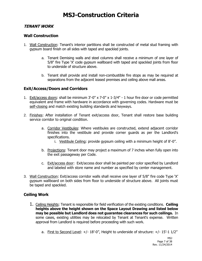#### **TENANT WORK**

#### **Wall Construction**

- 1. Wall Construction: Tenant's interior partitions shall be constructed of metal stud framing with gypsum board finish on all sides with taped and spackled joints.
	- a. Tenant Demising walls and steel columns shall receive a minimum of one layer of 5/8" fire Type 'X' code gypsum wallboard with taped and spackled joints from floor to underside of structure above.
	- b. Tenant shall provide and install non-combustible fire stops as may be required at separations from the adjacent leased premises and ceiling above mall areas.

#### **Exit/Access/Doors and Corridors**

- 1. Exit/access doors: shall be minimum 3'-0" x 7-0" x 1-3/4" 1 hour fire door or code permitted equivalent and frame with hardware in accordance with governing codes. Hardware must be self-closing and match existing building standards and keyways.
- 2. Finishes: After installation of Tenant exit/access door, Tenant shall restore base building service corridor to original condition.
	- a. Corridor Vestibules: Where vestibules are constructed, extend adjacent corridor finishes into the vestibule and provide corner guards as per the Landlord's specifications.
		- i. Vestibule Ceiling: provide gypsum ceiling with a minimum height of 8'-0".
	- b. Projections: Tenant door may project a maximum of 7 inches when fully open into the exit passageway per Code.
	- c. Exit/access door: Exit/access door shall be painted per color specified by Landlord and labeled with store name and number as specified by center management.
- 3. Wall Construction: Exit/access corridor walls shall receive one layer of 5/8" fire code Type 'X' gypsum wallboard on both sides from floor to underside of structure above. All joints must be taped and spackled.

#### **Ceiling Work**

- 1. Ceiling Heights: Tenant is responsible for field verification of the existing conditions. **Ceiling heights above the height shown on the Space Layout Drawing and listed below may be possible but Landlord does not guarantee clearances for such ceilings.** In some cases, existing utilities may be relocated by Tenant at Tenant's expense. Written approval from Landlord is required before proceeding with such work.
	- a. First to Second Level:  $+/- 18'-0''$ , Height to underside of structure:  $+/- 15'-11/2''$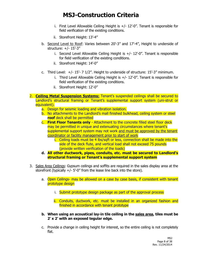- i. First Level Allowable Ceiling Height is  $+/- 12$ '-0". Tenant is responsible for field verification of the existing conditions.
- ii. Storefront Height: 13'-4"
- b. Second Level to Roof: Varies between 20'-3" and 17'-4", Height to underside of structure: +/- 15'-3"
	- i. Second Level Allowable Ceiling Height is  $+/-12.-0"$ . Tenant is responsible for field verification of the existing conditions.
	- ii. Storefront Height: 14'-0"
- c. Third Level:  $+/- 15' 7 1/2''$ . Height to underside of structure: 15'-3" minimum.
	- i. Third Level Allowable Ceiling Height is  $+/- 12'-0''$ . Tenant is responsible for field verification of the existing conditions.
	- ii. Storefront Height: 12'-0"
- 2. **Ceiling Metal Suspension Systems:** Tenant's suspended ceilings shall be secured to Landlord's structural framing or Tenant's supplemental support system (uni-strut or equivalent).
	- a. Design for seismic loading and vibration isolation.
	- b. No attachments to the Landlord's mall finished bulkhead, ceiling system or steel **roof** deck shall be permitted
	- c. **First Floor Tenants only** Attachment to the concrete filled steel floor deck may be permitted in unique and extenuating circumstances where tenant's supplemental support system may not work and must be approved by the tenant coordinator or facility management prior to start of work
		- i. Ceiling loads must be 4 lbs/sqft or less, connection shall be made into the side of the deck flute, and vertical load shall not exceed 75 pounds (provide written verification of the loads)
	- **d. All other ductwork, pipes, conduits, etc. must be secured to Landlord's structural framing or Tenant's supplemental support system**
- 3. Sales Area Ceilings: Gypsum ceilings and soffits are required in the sales display area at the storefront (typically +/- 5'-0" from the lease line back into the store).
	- a. Open Ceilings- may be allowed on a case by case basis, if consistent with tenant prototype design
		- i. Submit prototype design package as part of the approval process
		- ii. Conduits, ductwork, etc. must be installed in an organized fashion and finished in accordance with tenant prototype
	- **b. When using an acoustical lay-in tile ceiling in the sales area, tiles must be 2' x 2' with an exposed tegular edge.**
	- c. Provide a change in ceiling height for interest, so the entire ceiling is not completely flat.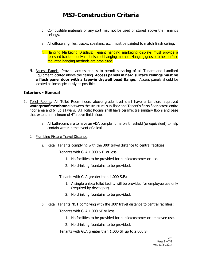- d. Combustible materials of any sort may not be used or stored above the Tenant's ceilings.
- e. All diffusers, grilles, tracks, speakers, etc., must be painted to match finish ceiling.
- f. Hanging Marketing Displays: Tenant hanging marketing displays must provide a recessed track or equivalent discreet hanging method. Hanging grids or other surface mounted hanging methods are prohibited.
- 4. Access Panels: Provide access panels to permit servicing of all Tenant and Landlord Equipment located above the ceiling. **Access panels in hard surface ceilings must be a flush panel door with a tape-in drywall bead flange.** Access panels should be located as inconspicuously as possible.

#### **Interiors - General**

- 1. Toilet Rooms: All Toilet Room floors above grade level shall have a Landlord approved **waterproof membrane** between the structural sub-floor and Tenant's finish floor across entire floor area and 6" up all walls. All Toilet Rooms shall have ceramic tile sanitary floors and base that extend a minimum of 4" above finish floor.
	- a. All bathrooms are to have an ADA complaint marble threshold (or equivalent) to help contain water in the event of a leak
	- 2. Plumbing Fixture Travel Distance:
		- a. Retail Tenants complying with the 300' travel distance to central facilities:
			- i. Tenants with GLA 1,000 S.F. or less:
				- 1. No facilities to be provided for public/customer or use.
				- 2. No drinking fountains to be provided.
			- ii. Tenants with GLA greater than 1,000 S.F.:
				- 1. A single unisex toilet facility will be provided for employee use only (required by developer).
				- 2. No drinking fountains to be provided.
		- b. Retail Tenants NOT complying with the 300' travel distance to central facilities:
			- i. Tenants with GLA 1,000 SF or less:
				- 1. No facilities to be provided for public/customer or employee use.
				- 2. No drinking fountains to be provided.
			- ii. Tenants with GLA greater than 1,000 SF up to 2,000 SF: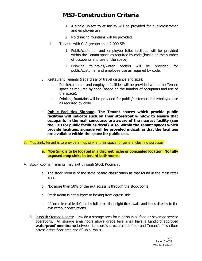- 1. A single unisex toilet facility will be provided for public/customer and employee use.
- 2. No drinking fountains will be provided.
- iii. Tenants with GLA greater than 2,000 SF:
	- 1. Public/customer and employee toilet facilities will be provided within the Tenant space as required by code (based on the number of occupants and use of the space).
	- 2. Drinking fountains/water coolers will be provided for public/customer and employee use as required by code.
- c. Restaurant Tenants (regardless of travel distance and size):
	- i. Public/customer and employee facilities will be provided within the Tenant space as required by code (based on the number of occupants and use of the space).
	- ii. Drinking fountains will be provided for public/customer and employee use as required by code.
- d. **Public Facilities Signage: The Tenant spaces which provide public facilities will indicate such on their storefront window to ensure that occupants in the mall concourse are aware of the nearest facility (see the LOD for public facilities decal). Also, within the Tenant spaces which provide facilities, signage will be provided indicating that the facilities are available within the space for public use.**
- 3. Mop Sink: tenant is to provide a mop sink in their space for general cleaning purposes.

#### **a. Mop Sink is to be located in a discreet niche or concealed location. No fully exposed mop sinks in tenant bathrooms.**

- 4. Stock Rooms: Tenants may exit through Stock Rooms if:
	- a. The stock room is of the same hazard classification as that found in the main retail area.
	- b. Not more than 50% of the exit access is through the stockrooms
	- c. Stock Room is not subject to locking from egress side
	- d. 44 inch clear aisle defined by full or partial height fixed walls and leads directly to the exit without obstructions.
	- 5. Rubbish Storage Rooms: Provide a storage area for rubbish in all food or beverage service operations. All storage area floors above grade level shall have a Landlord approved **waterproof membrane** between Landlord's structural sub-floor and Tenant's finish floor across entire floor area and 6" up all walls.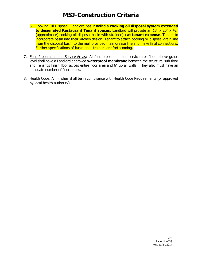- 6. Cooking Oil Disposal: Landlord has installed a **cooking oil disposal system extended**  to designated Restaurant Tenant spaces. Landlord will provide an 18" x 20" x 42" (approximate) cooking oil disposal basin with strainer(s) **at tenant expense**. Tenant to incorporate basin into their kitchen design. Tenant to attach cooking oil disposal drain line from the disposal basin to the mall provided main grease line and make final connections. Further specifications of basin and strainers are forthcoming.
- 7. Food Preparation and Service Areas: All food preparation and service area floors above grade level shall have a Landlord approved **waterproof membrane** between the structural sub-floor and Tenant's finish floor across entire floor area and 6" up all walls. They also must have an adequate number of floor drains.
- 8. Health Code: All finishes shall be in compliance with Health Code Requirements (or approved by local health authority).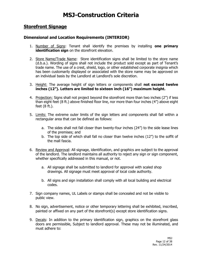### **Storefront Signage**

#### **Dimensional and Location Requirements (INTERIOR)**

- 1. Number of Signs: Tenant shall identify the premises by installing **one primary identification sign** on the storefront elevation.
- 2. Store Name/Trade Name: Store identification signs shall be limited to the store name (d.b.a.). Wording of signs shall not include the product sold except as part of Tenant's trade name. The use of a crest, shield, logo, or other established corporate insignia which has been customarily displayed or associated with the store name may be approved on an individual basis by the Landlord at Landlord's sole discretion.
- 3. Height: The average height of sign letters or components shall **not exceed twelve inches (12"). Letters are limited to sixteen inch (16") maximum height.**
- 4. Projection: Signs shall not project beyond the storefront more than two inches (2") if less than eight feet (8 ft.) above finished floor line, nor more than four inches (4") above eight feet (8 ft.).
- 5. Limits: The extreme outer limits of the sign letters and components shall fall within a rectangular area that can be defined as follows:
	- a. The sides shall not fall closer than twenty-four inches (24") to the side lease lines of the premises; and
	- b. The top side of which shall fall no closer than twelve inches (12") to the soffit of the mall fascia.
- 6. Review and Approval: All signage, identification, and graphics are subject to the approval of the landlord. The landlord maintains all authority to reject any sign or sign component, whether specifically addressed in this manual, or not.
	- a. All signage shall be submitted to landlord for approval with scaled shop drawings. All signage must meet approval of local code authority.
	- b. All signs and sign installation shall comply with all local building and electrical codes.
- 7. Sign company names, UL Labels or stamps shall be concealed and not be visible to public view.
- 8. No sign, advertisement, notice or other temporary lettering shall be exhibited, inscribed, painted or affixed on any part of the storefront(s) except store identification signs.
- 9. Decals: In addition to the primary identification sign, graphics on the storefront glass doors are permissible, Subject to landlord approval. These may not be illuminated, and must adhere to: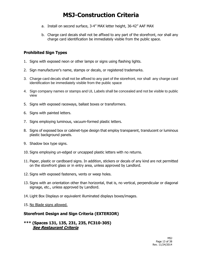- a. Install on second surface, 3-4" MAX letter height, 36-42" AAF MAX
- b. Charge card decals shall not be affixed to any part of the storefront, nor shall any charge card identification be immediately visible from the public space.

### **Prohibited Sign Types**

- 1. Signs with exposed neon or other lamps or signs using flashing lights.
- 2. Sign manufacturer's name, stamps or decals, or registered trademarks.
- 3. Charge card decals shall not be affixed to any part of the storefront, nor shall any charge card identification be immediately visible from the public space
- 4. Sign company names or stamps and UL Labels shall be concealed and not be visible to public view
- 5. Signs with exposed raceways, ballast boxes or transformers.
- 6. Signs with painted letters.
- 7. Signs employing luminous, vacuum-formed plastic letters.
- 8. Signs of exposed box or cabinet-type design that employ transparent, translucent or luminous plastic background panels.
- 9. Shadow box type signs.
- 10. Signs employing un-edged or uncapped plastic letters with no returns.
- 11. Paper, plastic or cardboard signs. In addition, stickers or decals of any kind are not permitted on the storefront glass or in entry area, unless approved by Landlord.
- 12. Signs with exposed fasteners, vents or weep holes.
- 13. Signs with an orientation other than horizontal, that is, no vertical, perpendicular or diagonal signage, etc., unless approved by Landlord.
- 14. Light Box Displays or equivalent illuminated displays boxes/images.
- 15. No Blade signs allowed.

#### **Storefront Design and Sign Criteria (EXTERIOR)**

#### **\*\*\* (Spaces 131, 135, 231, 235, FC310-305) See Restaurant Criteria**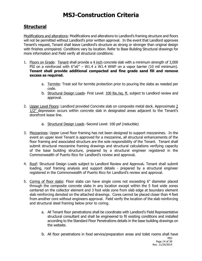### **Structural**

Modifications and alterations: Modifications and alterations to Landlord's framing structure and floors will not be permitted without Landlord's prior written approval. In the event that Landlord approves Tenant's request, Tenant shall leave Landlord's structure as strong or stronger than original design with finishes unimpaired. Conditions vary by location. Refer to Base Building Structural drawings for more information and Field verify all structural conditions:

- 1. Floors on Grade: Tenant shall provide a 4 inch concrete slab with a minimum strength of 3,000 PSI on a reinforced with  $6''x6'' - W1.4 \times W1.4$  WWF on a vapor barrier (10 mil minimum). **Tenant shall provide additional compacted and fine grade sand fill and remove excess as required.**
	- a. Termite: Treat soil for termite protection prior to pouring the slabs as needed per code.
	- b. Structural Design Loads- First Level: 100 lbs./sq. ft. subject to Landlord review and approval.
- 2. Upper Level Floors: Landlord provided Concrete slab on composite metal deck. Approximate 2 1/2" depression occurs within concrete slab in designated areas adjacent to the Tenant's storefront lease line.
	- a. Structural Design Loads -Second Level: 100 psf (reducible)
- 3. Mezzanines: Upper Level floor framing has not been designed to support mezzanines. In the event an upper level Tenant is approved for a mezzanine, all structural enhancements of the floor framing and associated structure are the sole responsibility of the Tenant. Tenant shall submit structural mezzanine framing drawings and structural calculations verifying capacity of the base building structure, prepared by a structural engineer registered in the Commonwealth of Puerto Rico for Landlord's review and approval.
- 4. Roof: Structural Design Loads subject to Landlord Review and Approval**.** Tenant shall submit loading, roof framing analysis and support details - prepared by a structural engineer registered in the Commonwealth of Puerto Rico for Landlord's review and approval.
- 5. Coring of floor slabs: Floor slabs can have single cores not exceeding 6" diameter placed through the composite concrete slabs in any location except within the 5 foot wide zones centered on the collector element and 3 foot wide zone from slab edge at boundary element slab reinforcing denoted on the attached drawings. Cores cannot be placed closer than 4 feet from another core without engineers approval. Field verify the location of the slab reinforcing and structural steel framing below prior to coring.
	- a. All Tenant floor penetrations shall be coordinate with Landlord's Field Representative structural consultant and shall be engineered to fit existing conditions and installed according to the Standard Floor Penetrations details in the base building drawings on the website.
	- b. All floor penetrations in food service/preparation areas and toilet rooms shall have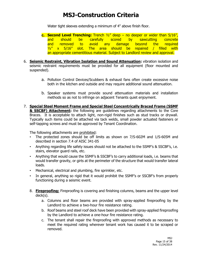Water tight sleeves extending a minimum of 4" above finish floor.

- **c. Second Level Trenching:** Trench ½" deep no deeper or wider than 5/16", and should be carefully scored by sawcutting concrete and removed to avoid any damage beyond the required  $\frac{1}{2}$  x 5/16" slot. The area should be repaired / filled with an appropriate cementitious material. Subject to Landlord review and approval.
- 6. **Seismic Restraint, Vibration Isolation and Sound Attenuation:** vibration isolation and seismic restraint requirements must be provided for all equipment (floor mounted and suspended).
	- a. Pollution Control Devices/Scubbers & exhaust fans often create excessive noise both in the kitchen and outside and may require additional sound attenuation.
	- b. Speaker systems must provide sound attenuation materials and installation methods so as not to infringe on adjacent Tenants quiet enjoyment.
- 7. **Special Steel Moment Frame and Special Steel Concentrically Braced Frame (SSMF & SSCBF) Attachment:** the following are guidelines regarding attachments to the Core Braces. It is acceptable to attach light, non-rigid finishes such as stud tracks or drywall. Typically such items could be attached via tack welds, small powder actuated fasteners or self-tapping screws and must be approved by Tenant Coordination.

The following attachments are prohibited:

- The protected zones should be off limits as shown on 7/S-602M and 1/S-605M and described in section 7.4 of AISC 341-05
- Anything regarding life safety issues should not be attached to the SSMF's & SSCBF's, i.e. stairs, elevator guard rails, etc.
- Anything that would cause the SSMF's & SSCBF's to carry additional loads, i.e. beams that would transfer gravity, or girts at the perimeter of the structure that would transfer lateral loads.
- Mechanical, electrical and plumbing, fire sprinkler, etc.
- In general, anything so rigid that it would prohibit the SSMF's or SSCBF's from properly functioning during a seismic event.
- 8. **Fireproofing:** Fireproofing is covering and finishing columns, beams and the upper level deck(s).
	- a. Columns and floor beams are provided with spray-applied fireproofing by the Landlord to achieve a two-hour fire resistance rating.
	- b. Roof beams and steel roof deck have been provided with spray-applied fireproofing by the Landlord to achieve a one-hour fire resistance rating.
	- c. The tenant shall repair the fireproofing with approved methods as necessary to meet the required rating wherever tenant work has caused it to be scraped or removed.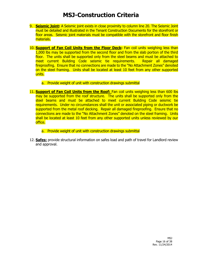- 9. **Seismic Joint:** A Seismic joint exists in close proximity to column line 20. The Seismic Joint must be detailed and illustrated in the Tenant Construction Documents for the storefront or floor areas. Seismic joint materials must be compatible with the storefront and floor finish materials.
- 10. **Support of Fan Coil Units from the Floor Deck:** Fan coil units weighing less than 1,000 lbs may be supported from the second floor and from the slab portion of the third floor. The units shall be supported only from the steel beams and must be attached to meet current Building Code seismic tie requirements. Repair all damaged fireproofing. Ensure that no connections are made to the "No Attachment Zones" denoted on the steel framing. Units shall be located at least 10 feet from any other supported units.
	- a. Provide weight of unit with construction drawings submittal
- 11. **Support of Fan Coil Units from the Roof:** Fan coil units weighing less than 600 lbs may be supported from the roof structure. The units shall be supported only from the steel beams and must be attached to meet current Building Code seismic tie requirements. Under no circumstances shall the unit or associated piping or ductwork be supported from the metal roof decking. Repair all damaged fireproofing. Ensure that no connections are made to the "No Attachment Zones" denoted on the steel framing. Units shall be located at least 10 feet from any other supported units unless reviewed by our office.
	- a. Provide weight of unit with construction drawings submittal
- 12. **Safes:** provide structural information on safes load and path of travel for Landlord review and approval.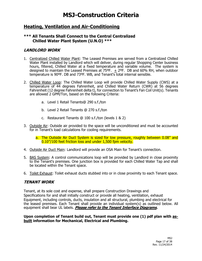### **Heating, Ventilation and Air-Conditioning**

#### **\*\*\* All Tenants Shall Connect to the Central Centralized Chilled Water Plant System (U.N.O) \*\*\***

#### **LANDLORD WORK**

- 1. Centralized Chilled Water Plant: The Leased Premises are served from a Centralized Chilled Water Plant installed by Landlord which will deliver, during regular Shopping Center business hours, filtered, Chilled Water at a fixed temperature and variable volume. The system is designed to maintain the Leased Premises at  $75^{\circ}F$ .  $+2^{\circ}F$ . DB and 60% RH, when outdoor temperature is 90ºF. DB and 73ºF. WB, and Tenant's total internal sensible.
- 2. Chilled Water Loop: The Chilled Water Loop will provide Chilled Water Supply (CWS) at a temperature of 44 degrees Fahrenheit, and Chilled Water Return (CWR) at 56 degrees Fahrenheit (12 degree Fahrenheit delta t), for connection to Tenant's Fan Coil Unit(s). Tenants are allowed 2 GPM/Ton, based on the following Criteria:
	- a. Level 1 Retail Tenants@ 290 s.f./ton
	- b. Level 2 Retail Tenants @ 270 s.f./ton
	- c. Restaurant Tenants @ 100 s.f./ton (levels 1 & 2)
- 3. Outside Air: Outside air provided to the space will be unconditioned and must be accounted for in Tenant's load calculations for cooling requirements.
	- a. The Outside Air Duct System is sized for low pressure, roughly between 0.08" and 0.10"/100 feet friction loss and under 1,500 fpm velocity.
- 4. Outside Air Duct Main: Landlord will provide an OSA Main for Tenant's connection.
- 5. BAS System: A control communications loop will be provided by Landlord in close proximity to the Tenant's premises. One junction box is provided for each Chilled Water Tap and shall be located within the Tenant space.
- 6. Toilet Exhaust: Toilet exhaust ducts stubbed into or in close proximity to each Tenant space.

#### **TENANT WORK**

Tenant, at its sole cost and expense, shall prepare Construction Drawings and Specifications for and shall initially construct or provide all heating, ventilation, exhaust Equipment, including controls, ducts, insulation and all structural, plumbing and electrical for the leased premises. Each Tenant shall provide an individual system(s) as outlined below. All equipment shall bear UL labels. **Please refer to the Tenant Interface Diagrams.**

**Upon completion of Tenant build out, Tenant must provide one (1) pdf plan with asbuilt information for Mechanical, Electrical and Plumbing.**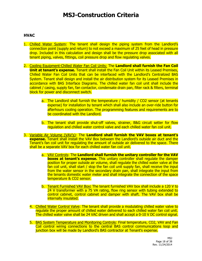#### **HVAC**

- 1. Chilled Water System: The tenant shall design the piping system from the Landlord's connection point (supply and return) to not exceed a maximum of 25 feet of head in pressure drop. Included in this calculation and design shall be the pressure drop associated with all tenant piping, valves, fittings, coil pressure drop and flow regulating valves.
- 2. Cooling Equipment-Chilled Water Fan Coil Units: The **Landlord shall furnish the Fan Coil Unit at tenant's expense.** Tenant shall install the Fan Coil Unit within its Leased Premises, Chilled Water Fan Coil Units that can be interfaced with the Landlord's Centralized BAS System. Tenant shall design and install the air distribution system for its Leased Premises in accordance with BAS Interface Diagrams. The chilled water fan coil unit shall include the cabinet / casing, supply fan, fan contactor, condensate drain pan, filter rack & filters, terminal block for power and disconnect switch.
	- a. The Landlord shall furnish the temperature / humidity / CO2 sensor (at tenants expense) for installation by tenant which shall also include an over-ride button for afterhours cooling operation. The programming features and requirements are to be coordinated with the Landlord.
	- b. The tenant shall provide shut-off valves, strainer, B&G circuit setter for flow regulation and chilled water control valve and each chilled water fan coil unit.
- 3. Variable Air Volume (VAV's): The **Landlord shall furnish the VAV boxes at tenant's expense.** Tenant shall install the VAV Box between the Landlord's outside air duct and the Tenant's fan coil unit for regulating the amount of outside air delivered to the space. There shall be a separate VAV box for each chilled water fan coil unit.
	- a. VAV Controls: The **Landlord shall furnish the unitary controller for the VAV boxes at tenant's expense.** This unitary controller shall regulate the damper position for proper outside air volume, shall regulate the chilled water valve at the fan coil unit, shall start / stop the fan coil unit supply fan, shall receive the input from the water sensor in the secondary drain pan, shall integrate the input from the tenants domestic water meter and shall integrate the connection of the space temperature & CO2 sensor.
	- b. Tenant Furnished VAV Box**:** The tenant furnished VAV box shall include a 120 V to 24 V transformer with a 75 VA rating, flow ring sensor with tubing extended to control cabinet, control cabinet and damper with shaft. The VAV box shall be internally insulated.
	- 4. Chilled Water Control Valve: The tenant shall provide a modulating chilled water valve to regulate the proper amount of chilled water delivered to each chilled water fan coil unit. The chilled water valve shall be 24 VAC driven and shall accept a 0-10 V DC control signal.
	- 5. BAS System Temperature and Monitoring Controls: Final temperature, CO2, VAV and Fan Coil control wiring connections to the central BAS control communications loop and junction box will be made by Landlord's BAS contractor at Tenant's expense.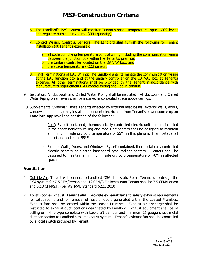- 6. The Landlord's BAS system will monitor Tenant's space temperature, space CO2 levels and regulate outside air volume (CFM quantity).
- 7. Control Wiring, Controls, Sensors: The Landlord shall furnish the following for Tenant installation (at Tenant's expense):
	- a. all code complying temperature control wiring including the communication wiring between the junction box within the Tenant's premise;
	- b. the Unitary controller located on the OA VAV box; and
	- c. the space temperature / CO2 sensor.
- 8. Final Terminations of BAS Wiring: The Landlord shall terminate the communication wiring at the BAS junction box and at the unitary controller on the OA VAV box at Tenant's expense. All other terminations shall be provided by the Tenant in accordance with manufacturers requirements. All control wiring shall be in conduit.
- 9. Insulation: All ductwork and Chilled Water Piping shall be insulated. All ductwork and Chilled Water Piping on all levels shall be installed in concealed space above ceilings.
- 10. Supplemental Systems: Those Tenants affected by external heat losses (exterior walls, doors, windows, floors, etc.) may install independent electric heat from Tenant's power source **upon Landlord approval** and consisting of the following:
	- a. Roof: By self-contained, thermostatically controlled electric unit heaters installed in the space between ceiling and roof. Unit heaters shall be designed to maintain a minimum inside dry bulb temperature of 55°F in this plenum. Thermostat shall be set and locked at 55°F.
	- b. Exterior Walls, Doors, and Windows: By self-contained, thermostatically controlled electric heaters or electric baseboard type radiant heaters. Heaters shall be designed to maintain a minimum inside dry bulb temperature of 70°F in affected spaces.

#### **Ventilation**

- 1. Outside Air: Tenant will connect to Landlord OSA duct stub. Retail Tenant is to design the OSA system for 7.5 CFM/Person and .12 CFM/S.F.; Restaurant Tenant shall be 7.5 CFM/Person and 0.18 CFM/S.F. (per ASHRAE Standard 62.1, 2010)
- 2. Toilet Rooms-Exhaust: **Tenant shall provide exhaust fans** to satisfy exhaust requirements for toilet rooms and for removal of heat or odors generated within the Leased Premises. Exhaust fans shall be located within the Leased Premises. Exhaust air discharge shall be restricted to exhaust duct locations designated by Landlord. Exhaust equipment shall be of ceiling or in-line type complete with backdraft damper and minimum 26 gauge sheet metal duct connection to Landlord's toilet exhaust system. Tenant's exhaust fan shall be controlled by a local switch provided by Tenant.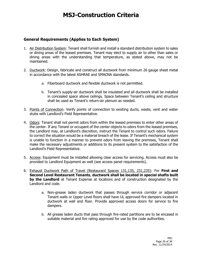### **General Requirements (Applies to Each System)**

- 1. Air Distribution System: Tenant shall furnish and install a standard distribution system to sales or dining areas of the leased premises. Tenant may elect to supply air to other than sales or dining areas with the understanding that temperature, as stated above, may not be maintained.
- 2. Ductwork: Design, fabricate and construct all ductwork from minimum 26 gauge sheet metal in accordance with the latest ASHRAE and SMACNA standards.
	- a. Fiberboard ductwork and flexible ductwork is not permitted.
	- b. Tenant's supply-air ductwork shall be insulated and all ductwork shall be installed in concealed space above ceilings. Space between Tenant's ceiling and structure shall be used as Tenant's return-air plenum as needed.
- 3. Points of Connection: Verify points of connection to existing ducts, waste, vent and water stubs with Landlord's Field Representative.
- 4. Odors: Tenant shall not permit odors from within the leased premises to enter other areas of the center. If any Tenant or occupant of the center objects to odors from the leased premises, the Landlord may, at Landlord's discretion, instruct the Tenant to control such odors. Failure to correct the situation would be a material breach of the lease. If Tenant's mechanical system is unable to function in a manner to prevent odors from leaving the premises, Tenant shall make the necessary adjustments or additions to its present system to the satisfaction of the Landlord's Field Representative.
- 5. Access: Equipment must be installed allowing clear access for servicing. Access must also be provided to Landlord Equipment as well (see access panel requirements).
- 6. Exhaust Ductwork Path of Travel (Restaurant Spaces 131,135, 231,235): For **First and Second Level Restaurant Tenants**, **ductwork shall be located in special shafts built by the Landlord** at Tenant Expense at locations and of construction designated by the Landlord and code.
	- a. Non-grease laden ductwork that passes through service corridor or adjacent Tenant walls or Upper Level floors shall have UL approved fire dampers located in ductwork at wall and floor. Provide approved access doors for service to fire dampers.
	- b. All grease laden ducts that pass through fire-rated partitions are to be encased in suitable material and fire rating approved for use by the code authorities.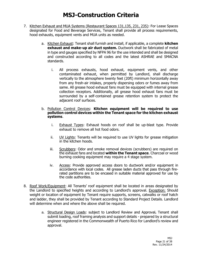- 7. Kitchen Exhaust and MUA Systems (Restaurant Spaces 131,135, 231, 235): For Lease Spaces designated for Food and Beverage Services, Tenant shall provide all process requirements, hood exhausts, equipment vents and MUA units as needed.
	- a. Kitchen Exhaust: Tenant shall furnish and install, if applicable, a complete **kitchen exhaust and make-up air duct system.** Ductwork shall be fabricated of metal in type and gauges specified by NFPA 96 for the use intended and shall be designed and constructed according to all codes and the latest ASHRAE and SMACNA standards.
		- i. All process exhausts, hood exhaust, equipment vents, and other contaminated exhaust, when permitted by Landlord, shall discharge vertically to the atmosphere twenty feet (20ft) minimum horizontally away from any fresh-air intakes, properly dispersing odors or fumes away from same. All grease hood exhaust fans must be equipped with internal grease collection receptors. Additionally, all grease hood exhaust fans must be surrounded by a self-contained grease retention system to protect the adjacent roof surfaces.
	- b. Pollution Control Devices: **Kitchen equipment will be required to use pollution control devices within the Tenant space for the kitchen exhaust systems**.
		- i. Exhaust Types: Exhaust hoods on roof shall be up-blast type. Provide exhaust to remove all hot food odors.
		- ii. UV Lights: Tenants will be required to use UV lights for grease mitigation in the kitchen hoods.
		- iii. Scrubbers: Odor and smoke removal devices (scrubbers) are required on the exhaust fans and located **within the Tenant space**. Charcoal or wood burning cooking equipment may require a 4 stage system.
		- iv. Access: Provide approved access doors to ductwork and/or equipment in accordance with local codes. All grease laden ducts that pass through firerated partitions are to be encased in suitable material approved for use by the code authorities.
- 8. Roof Work/Equipment: All Tenants' roof equipment shall be located in areas designated by the Landlord to specified heights and according to Landlord's approval. Exception: Should weight or location of equipment by Tenant require supports, screens, catwalks or roof hatch and ladder, they shall be provided by Tenant according to Standard Project Details. Landlord will determine when and where the above shall be required.
	- a. Structural Design Loads: subject to Landlord Review and Approval**.** Tenant shall submit loading, roof framing analysis and support details - prepared by a structural engineer registered in the Commonwealth of Puerto Rico for Landlord's review and approval.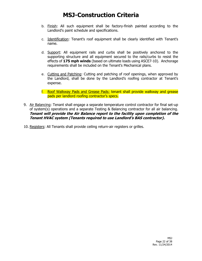- b. Finish: All such equipment shall be factory-finish painted according to the Landlord's paint schedule and specifications.
- c. Identification: Tenant's roof equipment shall be clearly identified with Tenant's name.
- d. Support: All equipment rails and curbs shall be positively anchored to the supporting structure and all equipment secured to the rails/curbs to resist the effects of **175 mph winds** (based on ultimate loads using ASCE7-10). Anchorage requirements shall be included on the Tenant's Mechanical plans.
- e. Cutting and Patching: Cutting and patching of roof openings, when approved by the Landlord, shall be done by the Landlord's roofing contractor at Tenant's expense.
- f. Roof Walkway Pads and Grease Pads: tenant shall provide walkway and grease pads per landlord roofing contractor's specs.
- 9. Air Balancing: Tenant shall engage a separate temperature control contractor for final set-up of system(s) operations and a separate Testing & Balancing contractor for all air balancing. **Tenant will provide the Air Balance report to the facility upon completion of the Tenant HVAC system (Tenants required to use Landlord's BAS contractor).**

10. Registers: All Tenants shall provide ceiling return-air registers or grilles.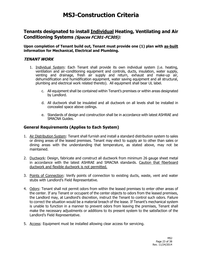### **Tenants designated to install Individual Heating, Ventilating and Air Conditioning Systems (Spaces FC301-FC305):**

**Upon completion of Tenant build out, Tenant must provide one (1) plan with as-built information for Mechanical, Electrical and Plumbing.** 

#### **TENANT WORK**

- 1. Individual System: Each Tenant shall provide its own individual system (i.e. heating, ventilation and air-conditioning equipment and controls, ducts, insulation, water supply, venting and drainage, fresh air supply and return, exhaust and make-up air, dehumidification and humidification equipment, water saving equipment and all structural, plumbing and electrical work related thereto). All equipment shall bear UL label.
	- c. All equipment shall be contained within Tenant's premises or within areas designated by Landlord.
	- d. All ductwork shall be insulated and all ductwork on all levels shall be installed in concealed space above ceilings.
	- e. Standards of design and construction shall be in accordance with latest ASHRAE and SMACNA Guides.

#### **General Requirements (Applies to Each System)**

- 1. Air Distribution System: Tenant shall furnish and install a standard distribution system to sales or dining areas of the leased premises. Tenant may elect to supply air to other than sales or dining areas with the understanding that temperature, as stated above, may not be maintained.
- 2. Ductwork: Design, fabricate and construct all ductwork from minimum 26 gauge sheet metal in accordance with the latest ASHRAE and SMACNA standards. Caution that fiberboard ductwork and flexible ductwork is not permitted.
- 3. Points of Connection: Verify points of connection to existing ducts, waste, vent and water stubs with Landlord's Field Representative.
- 4. Odors: Tenant shall not permit odors from within the leased premises to enter other areas of the center. If any Tenant or occupant of the center objects to odors from the leased premises, the Landlord may, at Landlord's discretion, instruct the Tenant to control such odors. Failure to correct the situation would be a material breach of the lease. If Tenant's mechanical system is unable to function in a manner to prevent odors from leaving the premises, Tenant shall make the necessary adjustments or additions to its present system to the satisfaction of the Landlord's Field Representative.
- 5. Access: Equipment must be installed allowing clear access for servicing.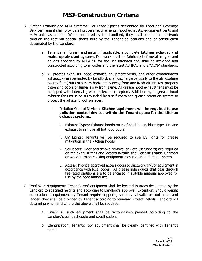- 6. Kitchen Exhaust and MUA Systems: For Lease Spaces designated for Food and Beverage Services Tenant shall provide all process requirements, hood exhausts, equipment vents and MUA units as needed. When permitted by the Landlord, they shall extend the ductwork through the roof via special shafts built by the Tenant at locations and of construction designated by the Landlord.
	- a. Tenant shall furnish and install, if applicable, a complete **kitchen exhaust and make-up air duct system.** Ductwork shall be fabricated of metal in type and gauges specified by NFPA 96 for the use intended and shall be designed and constructed according to all codes and the latest ASHRAE and SMACNA standards.
	- b. All process exhausts, hood exhaust, equipment vents, and other contaminated exhaust, when permitted by Landlord, shall discharge vertically to the atmosphere twenty feet (20ft) minimum horizontally away from any fresh-air intakes, properly dispersing odors or fumes away from same. All grease hood exhaust fans must be equipped with internal grease collection receptors. Additionally, all grease hood exhaust fans must be surrounded by a self-contained grease retention system to protect the adjacent roof surfaces.
		- i. Pollution Control Devices: **Kitchen equipment will be required to use pollution control devices within the Tenant space for the kitchen exhaust systems.**
			- ii. Exhaust Types: Exhaust hoods on roof shall be up-blast type. Provide exhaust to remove all hot food odors.
			- iii. UV Lights: Tenants will be required to use UV lights for grease mitigation in the kitchen hoods.
			- iv. Scrubbers: Odor and smoke removal devices (scrubbers) are required on the exhaust fans and located **within the Tenant space**. Charcoal or wood burning cooking equipment may require a 4 stage system.
			- v. Access: Provide approved access doors to ductwork and/or equipment in accordance with local codes. All grease laden ducts that pass through fire-rated partitions are to be encased in suitable material approved for use by the code authorities.
- 7. Roof Work/Equipment: Tenant's roof equipment shall be located in areas designated by the Landlord to specified heights and according to Landlord's approval. Exception: Should weight or location of equipment by Tenant require supports, screens, catwalks or roof hatch and ladder, they shall be provided by Tenant according to Standard Project Details. Landlord will determine when and where the above shall be required.
	- a. Finish: All such equipment shall be factory-finish painted according to the Landlord's paint schedule and specifications.
	- b. Identification: Tenant's roof equipment shall be clearly identified with Tenant's name.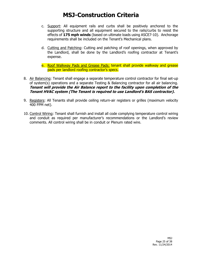- c. Support: All equipment rails and curbs shall be positively anchored to the supporting structure and all equipment secured to the rails/curbs to resist the effects of **175 mph winds** (based on ultimate loads using ASCE7-10). Anchorage requirements shall be included on the Tenant's Mechanical plans.
- d. Cutting and Patching: Cutting and patching of roof openings, when approved by the Landlord, shall be done by the Landlord's roofing contractor at Tenant's expense.

e. Roof Walkway Pads and Grease Pads: tenant shall provide walkway and grease pads per landlord roofing contractor's specs.

- 8. Air Balancing: Tenant shall engage a separate temperature control contractor for final set-up of system(s) operations and a separate Testing & Balancing contractor for all air balancing. **Tenant will provide the Air Balance report to the facility upon completion of the Tenant HVAC system (The Tenant is required to use Landlord's BAS contractor).**
- 9. Registers: All Tenants shall provide ceiling return-air registers or grilles (maximum velocity 400 FPM net).
- 10. Control Wiring: Tenant shall furnish and install all code complying temperature control wiring and conduit as required per manufacturer's recommendations or the Landlord's review comments. All control wiring shall be in conduit or Plenum rated wire.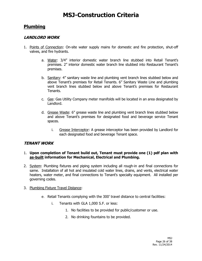### **Plumbing**

#### **LANDLORD WORK**

- 1. Points of Connection: On-site water supply mains for domestic and fire protection, shut-off valves, and fire hydrants.
	- a. Water: 3/4" interior domestic water branch line stubbed into Retail Tenant's premises. 2" interior domestic water branch line stubbed into Restaurant Tenant's premises.
	- b. Sanitary: 4" sanitary waste line and plumbing vent branch lines stubbed below and above Tenant's premises for Retail Tenants. 6" Sanitary Waste Line and plumbing vent branch lines stubbed below and above Tenant's premises for Restaurant Tenants.
	- c. Gas: Gas Utility Company meter manifolds will be located in an area designated by Landlord.
	- d. Grease Waste: 6" grease waste line and plumbing vent branch lines stubbed below and above Tenant's premises for designated food and beverage service Tenant spaces.
		- i. Grease Interceptor: A grease interceptor has been provided by Landlord for each designated food and beverage Tenant space.

#### **TENANT WORK**

#### 1. **Upon completion of Tenant build out, Tenant must provide one (1) pdf plan with as-built information for Mechanical, Electrical and Plumbing.**

2. System: Plumbing fixtures and piping system including all rough-in and final connections for same. Installation of all hot and insulated cold water lines, drains, and vents, electrical water heaters, water meter, and final connections to Tenant's specialty equipment. All installed per governing codes.

#### 3. Plumbing Fixture Travel Distance:

- e. Retail Tenants complying with the 300' travel distance to central facilities:
	- i. Tenants with GLA 1,000 S.F. or less:
		- 1. No facilities to be provided for public/customer or use.
		- 2. No drinking fountains to be provided.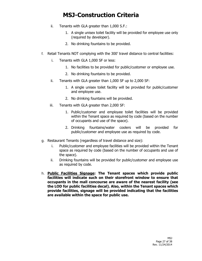- ii. Tenants with GLA greater than 1,000 S.F.:
	- 1. A single unisex toilet facility will be provided for employee use only (required by developer).
	- 2. No drinking fountains to be provided.
- f. Retail Tenants NOT complying with the 300' travel distance to central facilities:
	- i. Tenants with GLA 1,000 SF or less:
		- 1. No facilities to be provided for public/customer or employee use.
		- 2. No drinking fountains to be provided.
	- ii. Tenants with GLA greater than 1,000 SF up to 2,000 SF:
		- 1. A single unisex toilet facility will be provided for public/customer and employee use.
		- 2. No drinking fountains will be provided.
	- iii. Tenants with GLA greater than 2,000 SF:
		- 1. Public/customer and employee toilet facilities will be provided within the Tenant space as required by code (based on the number of occupants and use of the space).
		- 2. Drinking fountains/water coolers will be provided for public/customer and employee use as required by code.
- g. Restaurant Tenants (regardless of travel distance and size):
	- i. Public/customer and employee facilities will be provided within the Tenant space as required by code (based on the number of occupants and use of the space).
	- ii. Drinking fountains will be provided for public/customer and employee use as required by code.
- h. **Public Facilities Signage: The Tenant spaces which provide public facilities will indicate such on their storefront window to ensure that occupants in the mall concourse are aware of the nearest facility (see the LOD for public facilities decal). Also, within the Tenant spaces which provide facilities, signage will be provided indicating that the facilities are available within the space for public use.**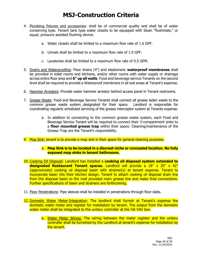- 4. Plumbing fixtures and accessories: shall be of commercial quality and shall be of water conserving type. Tenant tank type water closets to be equipped with Sloan "flushmate," or equal, pressure assisted flushing device.
	- a. Water closets shall be limited to a maximum flow rate of 1.6 GPF.
	- b. Urinals shall be limited to a maximum flow rate of 1.0 GPF.
	- c. Lavatories shall be limited to a maximum flow rate of 0.5 GPM.
- 5. Drains and Waterproofing: Floor drains (4") and elastomeric **waterproof membranes** shall be provided in toilet rooms and kitchens, and/or other rooms with water supply or drainage across entire floor area and **6" up all walls**. Food and beverage service Tenants on the second level shall be required to provide a Waterproof membrane in all wet areas at Tenant's expense.
- 6. Hammer Arrestors: Provide water hammer arrestor behind access panel in Tenant restrooms.
- 7. Grease Waste: Food and Beverage Service Tenants shall connect all grease laden waste to the common grease waste system designated for their space. Landlord is responsible for coordinating regularly scheduled servicing of the grease interceptor system at Tenants expense.
	- a. In addition to connecting to the common grease waste system, each Food and Beverage Service Tenant will be required to connect their 3-compartment sinks to a **floor mounted grease trap** within their space. Cleaning/maintenance of the Grease Trap are the Tenant's responsibility.
- 9. Mop Sink: tenant is to provide a mop sink in their space for general cleaning purposes.
	- a. **Mop Sink is to be located in a discreet niche or concealed location. No fully exposed mop sinks in tenant bathrooms.**
- 10. Cooking Oil Disposal: Landlord has installed a **cooking oil disposal system extended to designated Restaurant Tenant spaces.** Landlord will provide a 18" x 20" x 42" (approximate) cooking oil disposal basin with strainer(s) at tenant expense. Tenant to incorporate basin into their kitchen design. Tenant to attach cooking oil disposal drain line from the disposal basin to the mall provided main grease line and make final connections. Further specifications of basin and strainers are forthcoming.
- 11. Floor Penetrations: Pipe sleeves shall be installed in penetrations through floor slabs.
- 12. Domestic Water Meter-Integration: The landlord shall furnish at Tenant's expense the domestic water meter and register for installation by tenant. The output from the domestic water meter shall be integrated to the unitary controller at the OA VAV box.
	- a. Water Meter Wiring: The wiring between the meter register and the unitary controller shall be furnished by the Landlord at tenant's expense for installation by the tenant.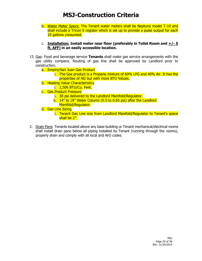- b. Water Meter Specs: The Tenant water meters shall be Neptune model T-10 and shall include a Tricon S register which is set up to provide a pulse output for each 10 gallons consumed.
- c. **Installation: Install meter near floor (preferably in Toilet Room and**  $\pm$ **/** $\cdot$  **5 ft. AFF) in an easily accessible location.**
- 13. Gas: Food and beverage service **Tenants** shall make gas service arrangements with the gas utility company. Routing of gas line shall be approved by Landlord prior to construction.
	- a. Empire/San Juan Gas Product
		- i. The Gas product is a Propane mixture of 60% LPG and 40% Air. It has the properties of NG but with more BTU Values.
	- b. Heating Value Characteristics
		- i. 1,506 BTU/Cu. Feet.
	- c. Gas Product Pressure
		- i. 30 psi delivered to the Landlord Manifold/Regulator.
		- ii. 14" to 18" Water Column (0.5 to 0.65 psi) after the Landlord Manifold/Regulator.
	- d. Gas Line Sizing
		- i. Tenant Gas Line size from Landlord Manifold/Regulator to Tenant's space shall be 2".
- 2. Drain Pans: Tenants located above any base building or Tenant mechanical/electrical rooms shall install drain pans below all piping installed by Tenant (running through the rooms), properly drain and comply with all local and AHJ codes.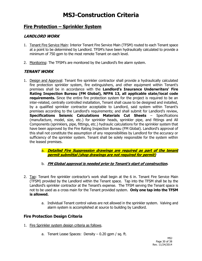### **Fire Protection – Sprinkler System**

### **LANDLORD WORK**

- 1. Tenant Fire Service Main: Interior Tenant Fire Service Main (TFSM) routed to each Tenant space at a point to be determined by Landlord. TFSM's have been hydraulically calculated to provide a minimum of 750 gpm to the most remote Tenant on each level.
- 2. Monitoring: The TFSM's are monitored by the Landlord's fire alarm system.

#### **TENANT WORK**

- 1. Design and Approval: Tenant fire sprinkler contractor shall provide a hydraulically calculated fire protection sprinkler system, fire extinguishers, and other equipment within Tenant's premises shall be in accordance with the **Landlord's Insurance Underwriters' Fire Rating Inspection Bureau (FM Global), NFPA 13, all applicable state/local code requirements.** Since the entire fire protection system for the project is required to be an inter-related, centrally controlled installation, Tenant shall cause to be designed and installed, by a qualified sprinkler contractor acceptable to Landlord, said system within Tenant's premises according to the Landlord's requirements; and shall submit for Landlord's review, **Specifications Seismic Calculations Materials Cut Sheets** – Specifications (manufacture, model, size, etc.) for sprinkler heads, sprinkler pipe, and fittings and All Components (sprinklers, pipe, fittings, etc.) hydraulic calculations for the sprinkler system that have been approved by the Fire Rating Inspection Bureau (FM Global). Landlord's approval of this shall not constitute the assumption of any responsibilities by Landlord for the accuracy or sufficiency of the sprinkler system. Tenant shall be solely responsible for the system within the leased premises.
	- a. **Detailed Fire Suppression drawings are required as part of the tenant permit submittal (shop drawings are not required for permit)**
	- b. **FM Global approval is needed prior to Tenant's start of construction.**
- 2. Tap: Tenant fire sprinkler contractor's work shall begin at the 6 in. Tenant Fire Service Main (TFSM) provided by the Landlord within the Tenant space. Tap into the TFSM shall be by the Landlord's sprinkler contractor at the Tenant's expense. The TFSM serving the Tenant space is not to be used as a cross main for the Tenant provided system. **Only one tap into the TFSM is allowed.**
	- a. Individual Tenant control valves are not allowed in the sprinkler system. Valving and alarm system is accomplished at source to building by Landlord.

#### **Fire Protection Design Criteria**

- 1. Fire Sprinkler system design criteria as follows.
	- a. Tenant Lease Spaces: Density  $-0.20$  gpm / sq. ft.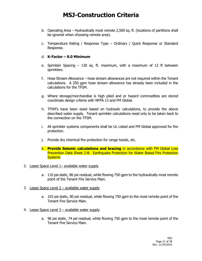- b. Operating Area Hydraulically most remote 2,500 sq. ft. (locations of partitions shall be ignored when choosing remote area).
- c. Temperature Rating / Response Type Ordinary / Quick Response or Standard Response.

#### d. **K-Factor – 8.0 Minimum**

- e. Sprinkler Spacing 130 sq. ft. maximum, with a maximum of 12 ft between sprinklers.
- f. Hose Stream Allowance hose stream allowances are not required within the Tenant calculations. A 250 gpm hose stream allowance has already been included in the calculations for the TFSM.
- g. Where storage/merchandise is high piled and or hazard commodities are stored coordinate design criteria with NFPA 13 and FM Global.
- h. TFSM's have been sized based on hydraulic calculations, to provide the above described water supply. Tenant sprinkler calculations need only to be taken back to the connection on the TFSM.
- i. All sprinkler systems components shall be UL Listed and FM Global approved for fire protection.
- j. Provide dry chemical fire protection for range hoods, etc.
- k. **Provide Seismic calculations and bracing** in accordance with FM Global Loss Prevention Data Sheet 2-8: Earthquake Protection for Water Based Fire Protection **Systems**
- 2. Lease Space Level 1– available water supply
	- a. 110 psi static, 86 psi residual, while flowing 750 gpm to the hydraulically most remote point of the Tenant Fire Service Main.
- 3. Lease Space Level 2 available water supply
	- a. 103 psi static, 80 psi residual, while flowing 750 gpm to the most remote point of the Tenant Fire Service Main.
- 4. Lease Space Level 3 available water supply
	- a. 96 psi static, 74 psi residual, while flowing 750 gpm to the most remote point of the Tenant Fire Service Main.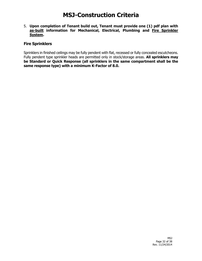#### 5. **Upon completion of Tenant build out, Tenant must provide one (1) pdf plan with as-built information for Mechanical, Electrical, Plumbing and Fire Sprinkler System.**

#### **Fire Sprinklers**

Sprinklers in finished ceilings may be fully pendent with flat, recessed or fully concealed escutcheons. Fully pendent type sprinkler heads are permitted only in stock/storage areas. **All sprinklers may be Standard or Quick Response (all sprinklers in the same compartment shall be the same response type) with a minimum K-Factor of 8.0.**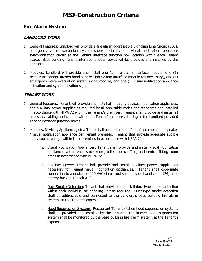### **Fire Alarm System**

#### **LANDLORD WORK**

- 1. General Features: Landlord will provide a fire alarm addressable Signaling Line Circuit (SLC), emergency voice evacuation system speaker circuit, and visual notification appliance synchronization circuit at the Tenant interface junction box location within each Tenant space. Base building Tenant interface junction boxes will be provided and installed by the Landlord.
- 2. Modules: Landlord will provide and install one (1) fire alarm interface module, one (1) restaurant Tenant kitchen hood suppression system interface module (as necessary), one (1) emergency voice evacuation system signal module, and one (1) visual notification appliance activation and synchronization signal module.

#### **TENANT WORK**

- 1. General Features: Tenant will provide and install all initiating devices, notification appliances, and auxiliary power supplies as required by all applicable codes and standards and installed in accordance with NFPA 72 within the Tenant's premises. Tenant shall provide and install all necessary cabling and conduit within the Tenant's premises starting at the Landlord provided Tenant interface junction boxes.
- 2. Modules, Devices, Appliances, etc.: There shall be a minimum of one (1) combination speaker / visual notification appliance per Tenant premises. Tenant shall provide adequate audible and visual coverage within their premises in accordance with NFPA 72.
	- a. Visual Notification Appliances: Tenant shall provide and install visual notification appliances within each stock room, toilet room, office, and central fitting room areas in accordance with NFPA 72.
	- b. **Auxiliary Power:** Tenant hall provide and install auxiliary power supplies as necessary for Tenant visual notification appliances. Tenant shall coordinate connection to a dedicated 120 VAC circuit and shall provide twenty four (24) hour battery backup in each APS.
	- c. Duct Smoke Detection: Tenant shall provide and install duct type smoke detection within each individual air handling unit as required. Duct type smoke detection shall be addressable and connected to the Landlord's base building fire alarm system, at the Tenant's expense.
	- d. Hood Suppression Systems: Restaurant Tenant kitchen hood suppression systems shall be provided and installed by the Tenant. The kitchen hood suppression system shall be monitored by the base building fire alarm system, at the Tenant's expense.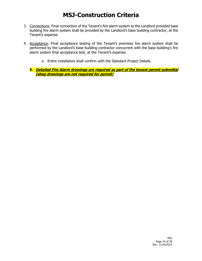- 3. Connections: Final connection of the Tenant's fire alarm system to the Landlord provided base building fire alarm system shall be provided by the Landlord's base building contractor, at the Tenant's expense.
- 4. Acceptance: Final acceptance testing of the Tenant's premises fire alarm system shall be performed by the Landlord's base building contractor concurrent with the base building's fire alarm system final acceptance test, at the Tenant's expense.
	- a. Entire installation shall confirm with the Standard Project Details.
	- **5. Detailed Fire Alarm drawings are required as part of the tenant permit submittal (shop drawings are not required for permit)**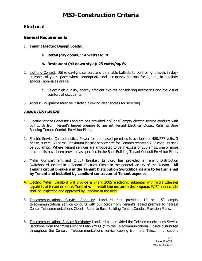### **Electrical**

#### **General Requirements**

- 1. **Tenant Electric Design Loads:**
	- **a. Retail (dry goods): 14 watts/sq. ft.**
	- **b. Restaurant (sit down style): 25 watts/sq. ft.**
- 2. Lighting Control: Utilize daylight sensors and dimmable ballasts to control light levels in daylit zones of your space where appropriate and occupancy sensors for lighting in auxiliary spaces (non-sales areas).
	- a. Select high quality, energy efficient fixtures considering aesthetics and the visual comfort of occupants.
- 3. Access: Equipment must be installed allowing clear access for servicing.

### **LANDLORD WORK**

- 1. Electric Service Conduits: Landlord has provided 2.5" or 4" empty electric service conduits with pull cords from Tenant's leased premise to nearest Tenant Electrical Closet. Refer to Base Building Tenant Conduit Provision Plans.
- 2. Electric Service Characteristics: Power for the leased premises is available at 480/277 volts, 3 phase, 4 wire, 60 hertz. Maximum electric service size for Tenants receiving 2.5" conduits shall be 200 amps. Where Tenant services are anticipated to be in excess of 200 amps, one or more 4" conduits have been provided as specified in the Base Building Tenant Conduit Provision Plans.
- 3. Meter Compartment and Circuit Breaker: Landlord has provided a Tenant Distribution Switchboard located in a Tenant Electrical Closet in the general vicinity of the Tenant. **All Tenant circuit breakers in the Tenant Distribution Switchboards are to be furnished by Tenant and installed by Landlord contractor at Tenant expense.**
- 4. Electric Meter: Landlord will provide a Shark 200S electronic submeter with WIFI Ethernet capability at tenant expense. **Tenant will install the meter in their space.** WIFI connectivity shall be inspected and approved by Landlord in the field.
- 5. Telecommunications Service Conduits: Landlord has provided 1" or 1.5" empty telecommunications service conduits with pull cords from Tenant's leased premise to nearest Center Telecommunications Closet. Refer to Base Building Tenant Conduit Provision Plans.
- 6. Telecommunications Service Backbone: Landlord has provided the Telecommunications Service Backbone from the "Main Point of Entry (MPOE)" to the Telecommunications Closets distributed throughout the Center. Telecommunications service cabling from the Telecommunications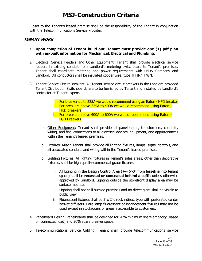Closet to the Tenant's leased premise shall be the responsibility of the Tenant in conjunction with the Telecommunications Service Provider.

#### **TENANT WORK**

- **1. Upon completion of Tenant build out, Tenant must provide one (1) pdf plan with as-built information for Mechanical, Electrical and Plumbing.**
- 2. Electrical Service Feeders and Other Equipment: Tenant shall provide electrical service feeders in existing conduit from Landlord's metering switchboard to Tenant's premises. Tenant shall coordinate metering and power requirements with Utility Company and Landlord. All conductors shall be insulated copper wire, type THHN/THWN.
- 3. Tenant Service Circuit Breakers: All Tenant service circuit breakers in the Landlord provided Tenant Distribution Switchboards are to be furnished by Tenant and installed by Landlord's contractor at Tenant expense.
	- i. For breaker up to 225A we would recommend using an Eaton HFD breaker
	- ii. For breakers above 225A to 400A we would recommend using Eaton **HKD breakers**
	- iii. For breakers above 400A to 600A we would recommend using Eaton LGH Breakers
	- b. Other Equipment: Tenant shall provide all panelboards, transformers, conduits, wiring, and final connections to all electrical devices, equipment, and appurtenances within the Tenant's leased premises.
	- c. Fixtures- Misc.: Tenant shall provide all lighting fixtures, lamps, signs, controls, and all associated conduits and wiring within the Tenant's leased premises.
	- d. Lighting Fixtures: All lighting fixtures in Tenant's sales areas, other than decorative fixtures, shall be high quality-commercial grade fixtures.
		- i. All Lighting in the Design Control Area (+/- 6'-0" from leaseline into tenant space) shall be **recessed or concealed behind a soffit** unless otherwise approved by Landlord. Lighting outside the storefront display area may be surface mounted.
		- ii. Lighting shall not spill outside premises and no direct glare shall be visible to public view.
		- iii. Fluorescent fixtures shall be 2' x 2' direct/indirect type with perforated center basket diffusers. Bare lamp fluorescent or incandescent fixtures may not be used except in stockrooms or areas inaccessible to customers.
- 4. Panelboard Design: Panelboards shall be designed for 20% minimum spare ampacity (based on connected load) and 20% spare breaker space.
- 5. Telecommunications Service Cabling: Tenant shall provide telecommunications service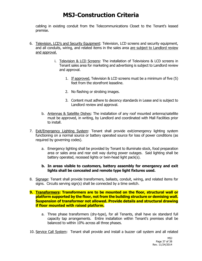cabling in existing conduit from the Telecommunications Closet to the Tenant's leased premise.

- 6. Television, LCD's and Security Equipment: Television, LCD screens and security equipment, and all conduits, wiring, and related items in the sales area are subject to Landlord review and approval.
	- i. Television & LCD Screens: The installation of Televisions & LCD screens in Tenant sales area for marketing and advertising is subject to Landlord review and approval.
		- 1. If approved, Television & LCD screens must be a minimum of five (5) feet from the storefront leaseline.
		- 2. No flashing or strobing images.
		- 3. Content must adhere to decency standards in Lease and is subject to Landlord review and approval.
	- b. Antennas & Satellite Dishes: The installation of any roof mounted antenna/satellite must be approved, in writing, by Landlord and coordinated with Mall Facilities prior to install.
- 7. Exit/Emergency Lighting System: Tenant shall provide exit/emergency lighting system functioning on a normal source or battery operated source for loss of power conditions (as required by governing codes).
	- a. Emergency lighting shall be provided by Tenant to illuminate stock, food preparation area or sales area and rear exit way during power outages. Said lighting shall be battery operated, recessed lights or twin-head light pack(s).

#### **b. In areas visible to customers, battery assembly for emergency and exit lights shall be concealed and remote type light fixtures used.**

8. Signage: Tenant shall provide transformers, ballasts, conduit, wiring, and related items for signs. Circuits serving sign(s) shall be connected by a time switch.

#### **9. Transformers: Transformers are to be mounted on the floor, structural wall or platform supported by the floor, not from the building structure or demising wall. Suspension of transformer not allowed. Provide details and structural drawing if floor mounted with raised platform.**

- a. Three phase transformers (dry-type), for all Tenants, shall have six standard full capacity tap arrangements. Entire installation within Tenant's premises shall be balanced to within 10% across all three phases.
- 10. Service Call System: Tenant shall provide and install a buzzer call system and all related